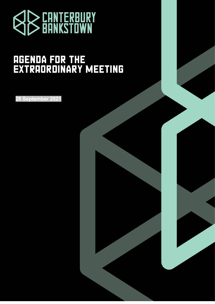

# **AGENDA FOR THE<br>EXTRAORDINARY MEETING**

**28 September 2021**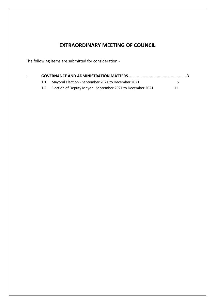# **EXTRAORDINARY MEETING OF COUNCIL**

The following items are submitted for consideration -

|  | Mayoral Election - September 2021 to December 2021             | 5. |
|--|----------------------------------------------------------------|----|
|  | 1.2 Election of Deputy Mayor - September 2021 to December 2021 | 11 |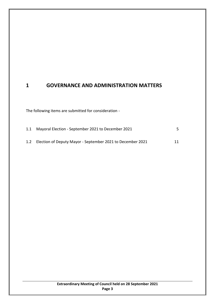# <span id="page-2-0"></span>**1 GOVERNANCE AND ADMINISTRATION MATTERS**

The following items are submitted for consideration -

|     | 1.1 Mayoral Election - September 2021 to December 2021     |  |
|-----|------------------------------------------------------------|--|
| 1.2 | Election of Deputy Mayor - September 2021 to December 2021 |  |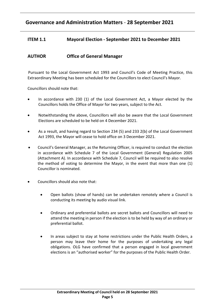# **Governance and Administration Matters** - **28 September 2021**

### <span id="page-4-0"></span>**ITEM 1.1 Mayoral Election - September 2021 to December 2021**

## **AUTHOR Office of General Manager**

Pursuant to the Local Government Act 1993 and Council's Code of Meeting Practice, this Extraordinary Meeting has been scheduled for the Councillors to elect Council's Mayor.

Councillors should note that:

- In accordance with 230 (1) of the Local Government Act, a Mayor elected by the Councillors holds the Office of Mayor for two years, subject to the Act.
- Notwithstanding the above, Councillors will also be aware that the Local Government Elections are scheduled to be held on 4 December 2021.
- As a result, and having regard to Section 234 (5) and 233 2(b) of the Local Government Act 1993, the Mayor will cease to hold office on 3 December 2021.
- Council's General Manager, as the Returning Officer, is required to conduct the election in accordance with Schedule 7 of the Local Government (General) Regulation 2005 (Attachment A). In accordance with Schedule 7, Council will be required to also resolve the method of voting to determine the Mayor, in the event that more than one (1) Councillor is nominated.
- Councillors should also note that:
	- Open ballots (show of hands) can be undertaken remotely where a Council is conducting its meeting by audio visual link.
	- Ordinary and preferential ballots are secret ballots and Councillors will need to attend the meeting in person if the election is to be held by way of an ordinary or preferential ballot.
	- In areas subject to stay at home restrictions under the Public Health Orders, a person may leave their home for the purposes of undertaking any legal obligations. OLG have confirmed that a person engaged in local government elections is an "authorised worker" for the purposes of the Public Health Order.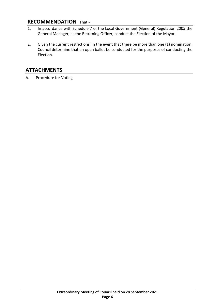## **RECOMMENDATION** That -

- 1. In accordance with Schedule 7 of the Local Government (General) Regulation 2005 the General Manager, as the Returning Officer, conduct the Election of the Mayor.
- 2. Given the current restrictions, in the event that there be more than one (1) nomination, Council determine that an open ballot be conducted for the purposes of conducting the Election.

# **ATTACHMENTS**

A. Procedure for Voting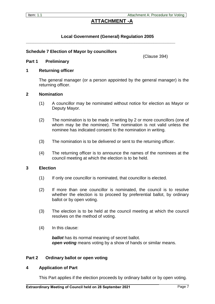## **ATTACHMENT -A**

#### **Local Government (General) Regulation 2005**

**\_\_\_\_\_\_\_\_\_\_\_\_\_\_\_\_\_\_\_\_\_\_\_\_\_\_\_\_\_\_\_\_\_\_\_\_\_\_\_\_\_\_\_\_\_\_\_\_\_\_\_\_\_\_\_\_\_\_\_\_\_\_**

#### **Schedule 7 Election of Mayor by councillors**

(Clause 394)

#### **Part 1 Preliminary**

#### **1 Returning officer**

The general manager (or a person appointed by the general manager) is the returning officer.

#### **2 Nomination**

- (1) A councillor may be nominated without notice for election as Mayor or Deputy Mayor.
- (2) The nomination is to be made in writing by 2 or more councillors (one of whom may be the nominee). The nomination is not valid unless the nominee has indicated consent to the nomination in writing.
- (3) The nomination is to be delivered or sent to the returning officer.
- (4) The returning officer is to announce the names of the nominees at the council meeting at which the election is to be held.

#### **3 Election**

- (1) If only one councillor is nominated, that councillor is elected.
- (2) If more than one councillor is nominated, the council is to resolve whether the election is to proceed by preferential ballot, by ordinary ballot or by open voting.
- (3) The election is to be held at the council meeting at which the council resolves on the method of voting.
- (4) In this clause:

*ballot* has its normal meaning of secret ballot. *open voting* means voting by a show of hands or similar means.

#### **Part 2 Ordinary ballot or open voting**

#### **4 Application of Part**

This Part applies if the election proceeds by ordinary ballot or by open voting.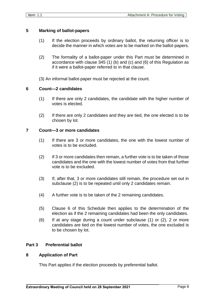#### **5 Marking of ballot-papers**

- (1) If the election proceeds by ordinary ballot, the returning officer is to decide the manner in which votes are to be marked on the ballot-papers.
- (2) The formality of a ballot-paper under this Part must be determined in accordance with clause 345 (1) (b) and (c) and (6) of this Regulation as if it were a ballot-paper referred to in that clause.
- (3) An informal ballot-paper must be rejected at the count.

#### **6 Count—2 candidates**

- (1) If there are only 2 candidates, the candidate with the higher number of votes is elected.
- (2) If there are only 2 candidates and they are tied, the one elected is to be chosen by lot.

#### **7 Count—3 or more candidates**

- (1) If there are 3 or more candidates, the one with the lowest number of votes is to be excluded.
- (2) If 3 or more candidates then remain, a further vote is to be taken of those candidates and the one with the lowest number of votes from that further vote is to be excluded.
- (3) If, after that, 3 or more candidates still remain, the procedure set out in subclause (2) is to be repeated until only 2 candidates remain.
- (4) A further vote is to be taken of the 2 remaining candidates.
- (5) Clause 6 of this Schedule then applies to the determination of the election as if the 2 remaining candidates had been the only candidates.
- (6) If at any stage during a count under subclause (1) or (2), 2 or more candidates are tied on the lowest number of votes, the one excluded is to be chosen by lot.

#### **Part 3 Preferential ballot**

#### **8 Application of Part**

This Part applies if the election proceeds by preferential ballot.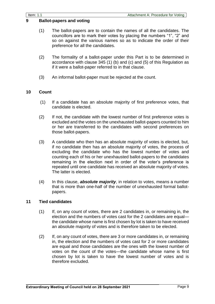#### **9 Ballot-papers and voting**

- (1) The ballot-papers are to contain the names of all the candidates. The councillors are to mark their votes by placing the numbers "1", "2" and so on against the various names so as to indicate the order of their preference for all the candidates.
- (2) The formality of a ballot-paper under this Part is to be determined in accordance with clause 345 (1) (b) and (c) and (5) of this Regulation as if it were a ballot-paper referred to in that clause.
- (3) An informal ballot-paper must be rejected at the count.

#### **10 Count**

- (1) If a candidate has an absolute majority of first preference votes, that candidate is elected.
- (2) If not, the candidate with the lowest number of first preference votes is excluded and the votes on the unexhausted ballot-papers counted to him or her are transferred to the candidates with second preferences on those ballot-papers.
- (3) A candidate who then has an absolute majority of votes is elected, but, if no candidate then has an absolute majority of votes, the process of excluding the candidate who has the lowest number of votes and counting each of his or her unexhausted ballot-papers to the candidates remaining in the election next in order of the voter's preference is repeated until one candidate has received an absolute majority of votes. The latter is elected.
- (4) In this clause, *absolute majority*, in relation to votes, means a number that is more than one-half of the number of unexhausted formal ballotpapers.

#### **11 Tied candidates**

- (1) If, on any count of votes, there are 2 candidates in, or remaining in, the election and the numbers of votes cast for the 2 candidates are equal the candidate whose name is first chosen by lot is taken to have received an absolute majority of votes and is therefore taken to be elected.
- (2) If, on any count of votes, there are 3 or more candidates in, or remaining in, the election and the numbers of votes cast for 2 or more candidates are equal and those candidates are the ones with the lowest number of votes on the count of the votes—the candidate whose name is first chosen by lot is taken to have the lowest number of votes and is therefore excluded.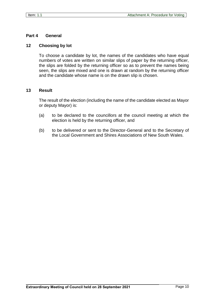#### **Part 4 General**

#### **12 Choosing by lot**

To choose a candidate by lot, the names of the candidates who have equal numbers of votes are written on similar slips of paper by the returning officer, the slips are folded by the returning officer so as to prevent the names being seen, the slips are mixed and one is drawn at random by the returning officer and the candidate whose name is on the drawn slip is chosen.

#### **13 Result**

The result of the election (including the name of the candidate elected as Mayor or deputy Mayor) is:

- (a) to be declared to the councillors at the council meeting at which the election is held by the returning officer, and
- (b) to be delivered or sent to the Director-General and to the Secretary of the Local Government and Shires Associations of New South Wales.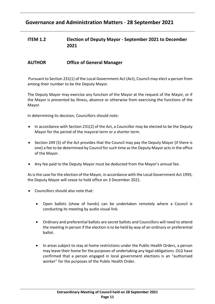# **Governance and Administration Matters** - **28 September 2021**

## <span id="page-10-0"></span>**ITEM 1.2 Election of Deputy Mayor - September 2021 to December 2021**

## **AUTHOR Office of General Manager**

Pursuant to Section 231(1) of the Local Government Act (Act), Council may elect a person from among their number to be the Deputy Mayor.

The Deputy Mayor may exercise any function of the Mayor at the request of the Mayor, or if the Mayor is prevented by illness, absence or otherwise from exercising the functions of the Mayor.

In determining its decision, Councillors should note:

- In accordance with Section 231(2) of the Act, a Councillor may be elected to be the Deputy Mayor for the period of the mayoral term or a shorter term.
- Section 249 (5) of the Act provides that the Council may pay the Deputy Mayor (if there is one) a fee to be determined by Council for such time as the Deputy Mayor acts in the office of the Mayor.
- Any fee paid to the Deputy Mayor must be deducted from the Mayor's annual fee.

As is the case for the election of the Mayor, in accordance with the Local Government Act 1993, the Deputy Mayor will cease to hold office on 3 December 2021.

- Councillors should also note that:
	- Open ballots (show of hands) can be undertaken remotely where a Council is conducting its meeting by audio visual link.
	- Ordinary and preferential ballots are secret ballots and Councillors will need to attend the meeting in person if the election is to be held by way of an ordinary or preferential ballot.
	- In areas subject to stay at home restrictions under the Public Health Orders, a person may leave their home for the purposes of undertaking any legal obligations. OLG have confirmed that a person engaged in local government elections is an "authorised worker" for the purposes of the Public Health Order.